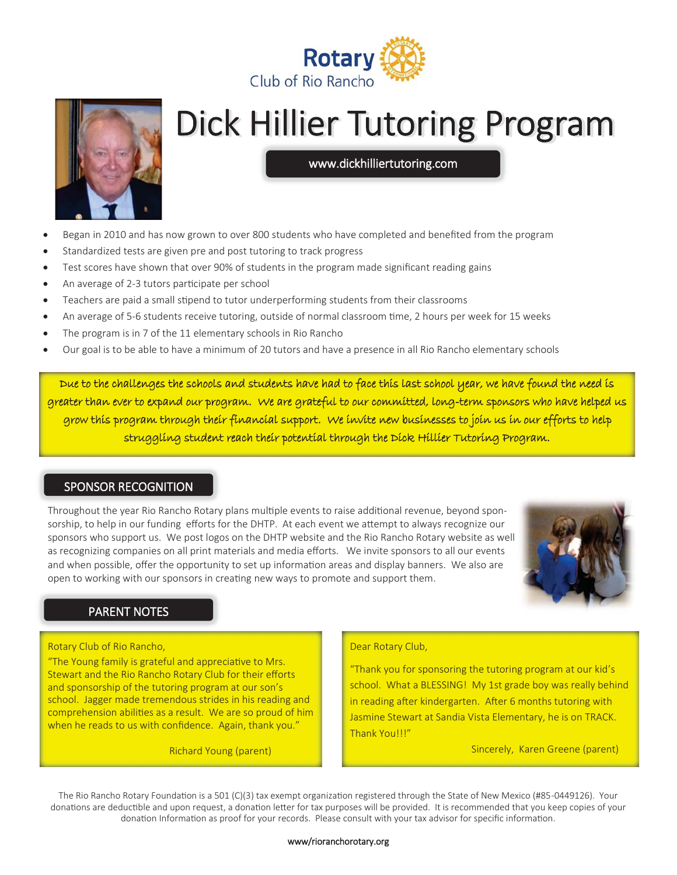



# **Dick Hillier Tutoring Program**

www.dickhilliertutoring.com

- Began in 2010 and has now grown to over 800 students who have completed and benefited from the program
- Standardized tests are given pre and post tutoring to track progress
- Test scores have shown that over 90% of students in the program made significant reading gains
- An average of 2-3 tutors participate per school
- Teachers are paid a small stipend to tutor underperforming students from their classrooms
- An average of 5-6 students receive tutoring, outside of normal classroom time, 2 hours per week for 15 weeks
- The program is in 7 of the 11 elementary schools in Rio Rancho
- Our goal is to be able to have a minimum of 20 tutors and have a presence in all Rio Rancho elementary schools

Due to the challenges the schools and students have had to face this last school year, we have found the need is greater than ever to expand our program. We are grateful to our committed, long-term sponsors who have helped us grow this program through their financial support. We invite new businesses to join us in our efforts to help struggling student reach their potential through the Dick Hillier Tutoring Program.

### SPONSOR RECOGNITION

Throughout the year Rio Rancho Rotary plans multiple events to raise additional revenue, beyond sponsorship, to help in our funding efforts for the DHTP. At each event we attempt to always recognize our sponsors who support us. We post logos on the DHTP website and the Rio Rancho Rotary website as well as recognizing companies on all print materials and media efforts. We invite sponsors to all our events and when possible, offer the opportunity to set up information areas and display banners. We also are open to working with our sponsors in creating new ways to promote and support them.



### PARENT NOTES

#### Rotary Club of Rio Rancho,

"The Young family is grateful and appreciative to Mrs. Stewart and the Rio Rancho Rotary Club for their efforts and sponsorship of the tutoring program at our son's school. Jagger made tremendous strides in his reading and comprehension abilities as a result. We are so proud of him when he reads to us with confidence. Again, thank you."

Richard Young (parent)

#### Dear Rotary Club,

"Thank you for sponsoring the tutoring program at our kid's school. What a BLESSING! My 1st grade boy was really behind in reading after kindergarten. After 6 months tutoring with Jasmine Stewart at Sandia Vista Elementary, he is on TRACK. Thank You!!!"

Sincerely, Karen Greene (parent)

The Rio Rancho Rotary Foundation is a 501 (C)(3) tax exempt organization registered through the State of New Mexico (#85-0449126). Your donations are deductible and upon request, a donation letter for tax purposes will be provided. It is recommended that you keep copies of your donation Information as proof for your records. Please consult with your tax advisor for specific information.

#### www/rioranchorotary.org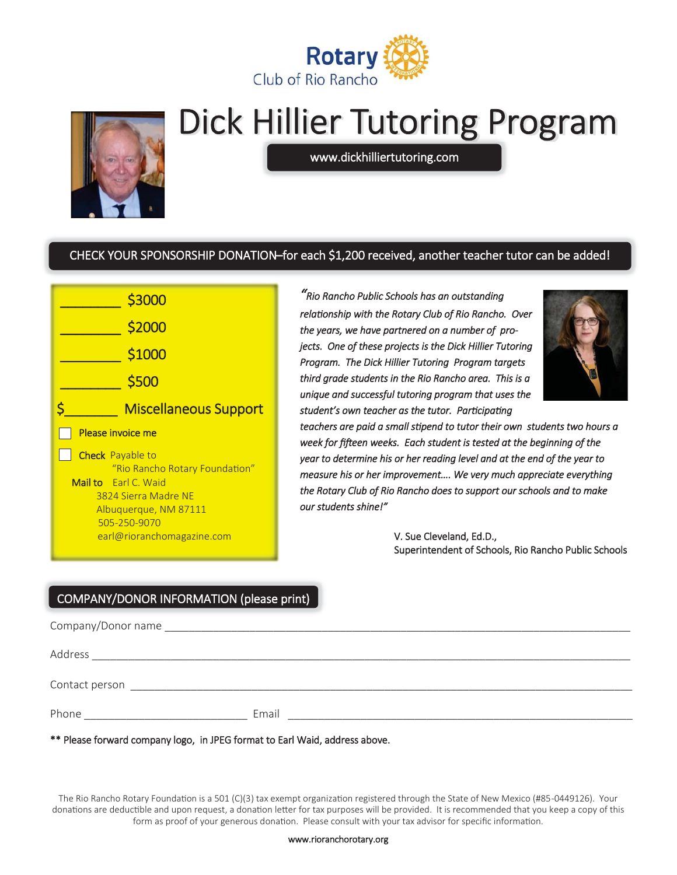



# **Dick Hillier Tutoring Program**

www.dickhilliertutoring.com

# CHECK YOUR SPONSORSHIP DONATION–for each \$1,200 received, another teacher tutor can be added!



*"Rio Rancho Public Schools has an outstanding relaƟonship with the Rotary Club of Rio Rancho. Over the years, we have partnered on a number of projects. One of these projects is the Dick Hillier Tutoring Program. The Dick Hillier Tutoring Program targets third grade students in the Rio Rancho area. This is a unique and successful tutoring program that uses the student's own teacher as the tutor. ParƟcipaƟng* 



*teachers are paid a small sƟpend to tutor their own students two hours a*  week for fifteen weeks. Each student is tested at the beginning of the *year to determine his or her reading level and at the end of the year to measure his or her improvement…. We very much appreciate everything the Rotary Club of Rio Rancho does to support our schools and to make our students shine!"* 

> V. Sue Cleveland, Ed.D., Superintendent of Schools, Rio Rancho Public Schools

# COMPANY/DONOR INFORMATION (please print)

| Company/Donor name |       |
|--------------------|-------|
| Address            |       |
| Contact person     |       |
| Phone              | Email |

\*\* Please forward company logo, in JPEG format to Earl Waid, address above.

The Rio Rancho Rotary Foundation is a 501 (C)(3) tax exempt organization registered through the State of New Mexico (#85-0449126). Your donations are deductible and upon request, a donation letter for tax purposes will be provided. It is recommended that you keep a copy of this form as proof of your generous donation. Please consult with your tax advisor for specific information.